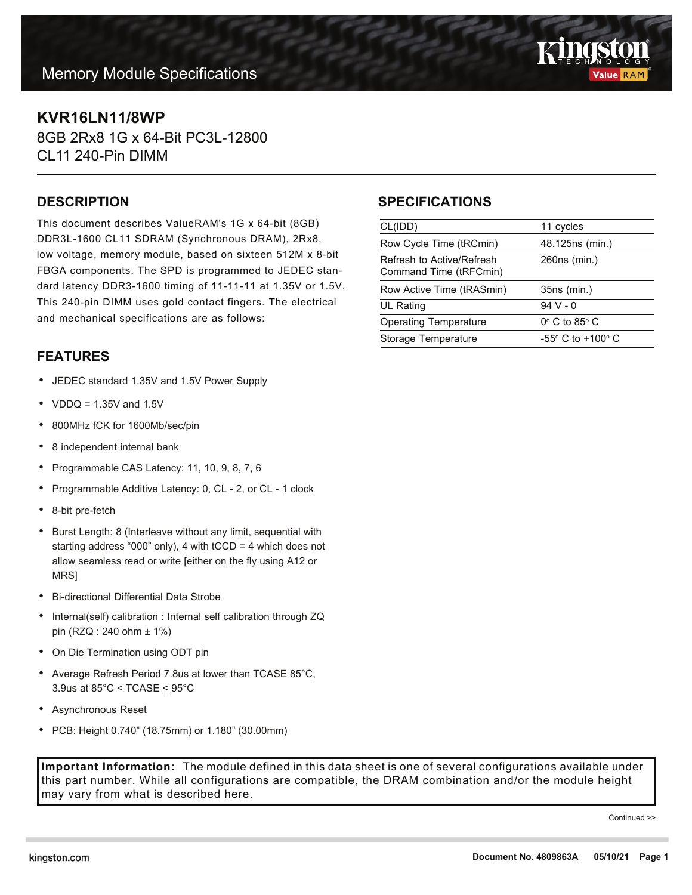# **Memory Module Specifications**



## **KVR16LN11/8WP**

8GB 2Rx8 1G x 64-Bit PC3L-12800 CL11 240-Pin DIMM

#### **DESCRIPTION**

This document describes ValueRAM's 1G x 64-bit (8GB) DDR3L-1600 CL11 SDRAM (Synchronous DRAM), 2Rx8, low voltage, memory module, based on sixteen 512M x 8-bit FBGA components. The SPD is programmed to JEDEC standard latency DDR3-1600 timing of 11-11-11 at 1.35V or 1.5V. This 240-pin DIMM uses gold contact fingers. The electrical and mechanical specifications are as follows:

## **FEATURES**

- JEDEC standard 1.35V and 1.5V Power Supply
- VDDQ =  $1.35V$  and  $1.5V$
- 800MHz fCK for 1600Mb/sec/pin
- 8 independent internal bank
- Programmable CAS Latency: 11, 10, 9, 8, 7, 6
- Programmable Additive Latency: 0, CL 2, or CL 1 clock
- 8-bit pre-fetch
- Burst Length: 8 (Interleave without any limit, sequential with starting address "000" only), 4 with tCCD = 4 which does not allow seamless read or write [either on the fly using A12 or MRS]
- Bi-directional Differential Data Strobe
- Internal(self) calibration : Internal self calibration through ZQ pin (RZQ : 240 ohm ± 1%)
- On Die Termination using ODT pin
- Average Refresh Period 7.8us at lower than TCASE 85°C, 3.9us at  $85^{\circ}$ C < TCASE  $\leq$  95 $^{\circ}$ C
- Asynchronous Reset
- PCB: Height 0.740" (18.75mm) or 1.180" (30.00mm)

#### **Important Information:** The module defined in this data sheet is one of several configurations available under this part number. While all configurations are compatible, the DRAM combination and/or the module height may vary from what is described here.

Continued >>

## **SPECIFICATIONS**

| CL(IDD)                                             | 11 cycles                           |
|-----------------------------------------------------|-------------------------------------|
| Row Cycle Time (tRCmin)                             | 48.125ns (min.)                     |
| Refresh to Active/Refresh<br>Command Time (tRFCmin) | 260ns (min.)                        |
| Row Active Time (tRASmin)                           | 35ns (min.)                         |
| <b>UL Rating</b>                                    | 94 V - 0                            |
| <b>Operating Temperature</b>                        | $0^\circ$ C to 85 $^\circ$ C        |
| Storage Temperature                                 | $-55^{\circ}$ C to $+100^{\circ}$ C |
|                                                     |                                     |